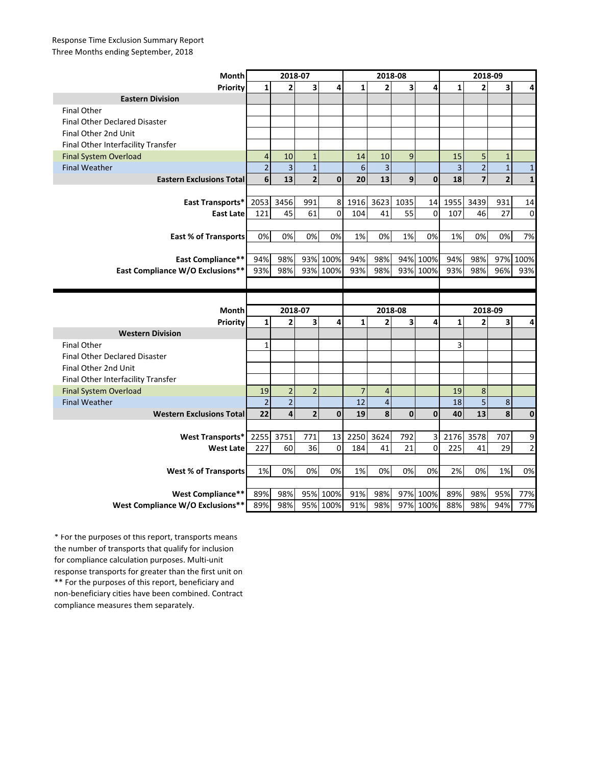## Response Time Exclusion Summary Report Three Months ending September, 2018

| Month                                | 2018-07        |                |                         |                      | 2018-08        |                |              |                      | 2018-09      |                |                         |                |
|--------------------------------------|----------------|----------------|-------------------------|----------------------|----------------|----------------|--------------|----------------------|--------------|----------------|-------------------------|----------------|
| Priority                             | $\mathbf{1}$   | $\overline{2}$ | $\overline{\mathbf{3}}$ | 4                    | $\mathbf{1}$   | $\overline{2}$ | 3            | 4                    | $\mathbf{1}$ | $\overline{2}$ | 3                       | 4              |
| <b>Eastern Division</b>              |                |                |                         |                      |                |                |              |                      |              |                |                         |                |
| <b>Final Other</b>                   |                |                |                         |                      |                |                |              |                      |              |                |                         |                |
| <b>Final Other Declared Disaster</b> |                |                |                         |                      |                |                |              |                      |              |                |                         |                |
| Final Other 2nd Unit                 |                |                |                         |                      |                |                |              |                      |              |                |                         |                |
| Final Other Interfacility Transfer   |                |                |                         |                      |                |                |              |                      |              |                |                         |                |
| <b>Final System Overload</b>         | $\overline{4}$ | 10             | $\mathbf{1}$            |                      | 14             | 10             | 9            |                      | 15           | 5              | $\mathbf{1}$            |                |
| <b>Final Weather</b>                 | $\overline{2}$ | 3              | $\mathbf{1}$            |                      | 6              | $\overline{3}$ |              |                      | 3            | $\overline{2}$ | $\mathbf{1}$            | $\mathbf{1}$   |
| <b>Eastern Exclusions Total</b>      | 6              | 13             | $\overline{2}$          | $\mathbf 0$          | 20             | 13             | 9            | $\mathbf{0}$         | 18           | $\overline{7}$ | $\overline{2}$          | $\mathbf{1}$   |
|                                      |                |                |                         |                      |                |                |              |                      |              |                |                         |                |
| East Transports*                     | 2053           | 3456           | 991                     | 8                    | 1916           | 3623           | 1035         | 14                   | 1955         | 3439           | 931                     | 14             |
| <b>East Late</b>                     | 121            | 45             | 61                      | $\mathbf 0$          | 104            | 41             | 55           | $\Omega$             | 107          | 46             | 27                      | 0              |
|                                      |                |                |                         |                      |                |                |              |                      |              |                |                         |                |
| <b>East % of Transports</b>          | 0%             | 0%             | 0%                      | 0%                   | 1%             | 0%             | 1%           | 0%                   | 1%           | 0%             | 0%                      | 7%             |
|                                      |                |                |                         |                      |                |                |              |                      |              |                |                         |                |
| <b>East Compliance**</b>             | 94%            | 98%            |                         | 93% 100%             | 94%            | 98%            |              | 94% 100%             | 94%          | 98%            | 97%                     | 100%           |
| East Compliance W/O Exclusions**     | 93%            | 98%            |                         | 93% 100%             | 93%            | 98%            |              | 93% 100%             | 93%          | 98%            | 96%                     | 93%            |
|                                      |                |                |                         |                      |                |                |              |                      |              |                |                         |                |
|                                      |                |                |                         |                      |                |                |              |                      |              |                |                         |                |
|                                      |                |                |                         |                      |                |                |              |                      |              |                |                         |                |
| Month                                |                | 2018-07        |                         |                      |                | 2018-08        |              |                      |              | 2018-09        |                         |                |
| Priority                             | $\mathbf{1}$   | $\overline{2}$ | 3                       | 4                    | $\mathbf{1}$   | $\overline{2}$ | 3            | 4                    | $\mathbf{1}$ | $\overline{2}$ | 3                       | 4              |
| <b>Western Division</b>              |                |                |                         |                      |                |                |              |                      |              |                |                         |                |
| <b>Final Other</b>                   | 1              |                |                         |                      |                |                |              |                      | 3            |                |                         |                |
| <b>Final Other Declared Disaster</b> |                |                |                         |                      |                |                |              |                      |              |                |                         |                |
| Final Other 2nd Unit                 |                |                |                         |                      |                |                |              |                      |              |                |                         |                |
| Final Other Interfacility Transfer   |                |                |                         |                      |                |                |              |                      |              |                |                         |                |
| <b>Final System Overload</b>         | 19             | $\overline{2}$ | $\overline{2}$          |                      | $\overline{7}$ | $\overline{4}$ |              |                      | 19           | $\bf 8$        |                         |                |
| <b>Final Weather</b>                 | $\overline{2}$ | $\overline{2}$ |                         |                      | 12             | $\overline{4}$ |              |                      | 18           | 5              | $\bf 8$                 |                |
| <b>Western Exclusions Total</b>      | 22             | 4              | $\overline{2}$          | $\mathbf{0}$         | 19             | 8              | $\mathbf{0}$ | $\mathbf{0}$         | 40           | 13             | $\overline{\mathbf{8}}$ | $\mathbf{0}$   |
|                                      |                |                |                         |                      |                |                |              |                      |              |                |                         |                |
| <b>West Transports*</b>              | 2255           | 3751           | 771                     | 13                   | 2250           | 3624           | 792          | 3                    | 2176         | 3578           | 707                     | 9              |
| <b>West Late</b>                     | 227            | 60             | 36                      | $\Omega$             | 184            | 41             | 21           | $\Omega$             | 225          | 41             | 29                      | $\overline{2}$ |
|                                      |                |                |                         |                      |                |                |              |                      |              |                |                         |                |
| <b>West % of Transports</b>          | 1%             | 0%             | 0%                      | 0%                   | 1%             | 0%             | 0%           | 0%                   | 2%           | 0%             | 1%                      | 0%             |
|                                      |                |                |                         |                      |                |                |              |                      |              |                |                         |                |
| West Compliance**                    | 89%            | 98%<br>98%     |                         | 95% 100%<br>95% 100% | 91%<br>91%     | 98%<br>98%     |              | 97% 100%<br>97% 100% | 89%<br>88%   | 98%<br>98%     | 95%<br>94%              | 77%            |

\*\* For the purposes of this report, beneficiary and non-beneficiary cities have been combined. Contract compliance measures them separately. \* For the purposes of this report, transports means the number of transports that qualify for inclusion for compliance calculation purposes. Multi-unit response transports for greater than the first unit on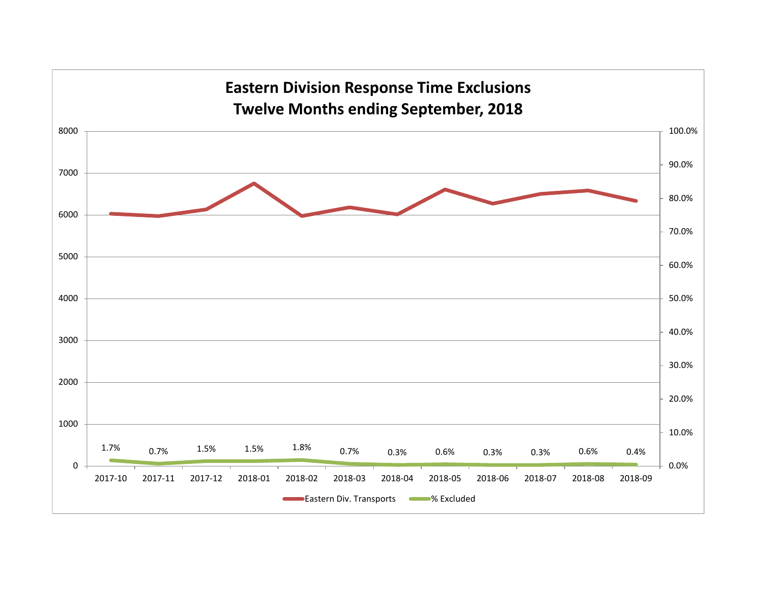